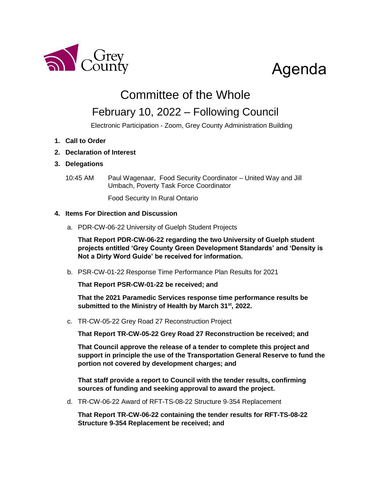

# Agenda

## Committee of the Whole

### February 10, 2022 – Following Council

Electronic Participation - Zoom, Grey County Administration Building

- **1. Call to Order**
- **2. Declaration of Interest**

### **3. Delegations**

10:45 AM Paul Wagenaar, Food Security Coordinator – United Way and Jill Umbach, Poverty Task Force Coordinator

Food Security In Rural Ontario

### **4. Items For Direction and Discussion**

a. PDR-CW-06-22 University of Guelph Student Projects

**That Report PDR-CW-06-22 regarding the two University of Guelph student projects entitled 'Grey County Green Development Standards' and 'Density is Not a Dirty Word Guide' be received for information.** 

b. PSR-CW-01-22 Response Time Performance Plan Results for 2021

**That Report PSR-CW-01-22 be received; and** 

**That the 2021 Paramedic Services response time performance results be submitted to the Ministry of Health by March 31 st, 2022.**

c. TR-CW-05-22 Grey Road 27 Reconstruction Project

**That Report TR-CW-05-22 Grey Road 27 Reconstruction be received; and**

**That Council approve the release of a tender to complete this project and support in principle the use of the Transportation General Reserve to fund the portion not covered by development charges; and** 

**That staff provide a report to Council with the tender results, confirming sources of funding and seeking approval to award the project.**

d. TR-CW-06-22 Award of RFT-TS-08-22 Structure 9‐354 Replacement

**That Report TR-CW-06-22 containing the tender results for RFT-TS-08-22 Structure 9**‐**354 Replacement be received; and**